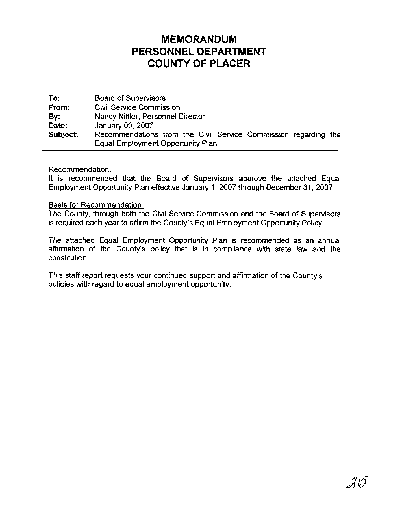# **MEMORANDUM PERSONNEL DEPARTMENT COUNTY OF PLACER**

**To:** Board of Supervisors **From:** Civil Service Commission **By:** Nancy Nittler, Personnel Director **Date:** January 09,2007 **Subject:** Recommendations from the Civil Service Commission regarding the Equal Employment Opportunity Plan

#### Recommendation:

It is recommended that the Board of Supervisors approve the attached Equal Employment Opportunity Plan effective January 1, 2007 through December 31, 2007.

#### Basis for Recommendation:

The County, through both the Civil Service Commission and the Board of Supervisors is required each year to affirm the County's Equal Employment Opportunity Policy.

The attached Equal Employment Opportunity Plan is recommended as an annual affirmation of the County's policy that is in compliance with state law and the constitution.

This staff report requests your continued support and affirmation of the County's policies with regard to equal employment opportunity.

215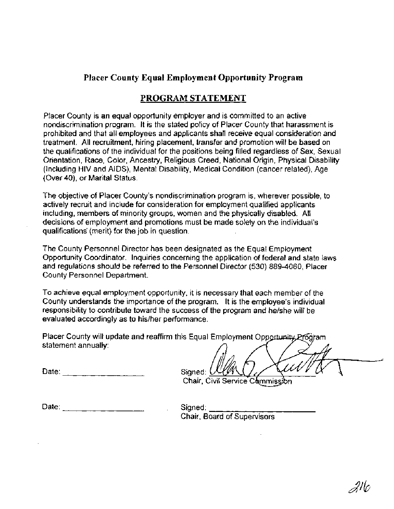# **Placer County Equal Employment Opportunity Program**

# **PROGRAM STATEMENT**

Placer County is an equal opportunity employer and is committed to an active nondiscrimination program. It is the stated policy of Placer County that harassment is prohibited and that all employees and applicants shall receive equal consideration and treatment. All recruitment, hiring placement, transfer and promotion will be based on the qualifications of the individual for the positions being filled regardless of Sex, Sexual Orientation, Race, Color, Ancestry, Religious Creed, National Origin, Physical Disability (Including HIV and AIDS), Mental Disability, Medical Condition (cancer related), Age (Over **40),** or Marital Status.

The objective of Placer County's nondiscrimination program is, wherever possible, to actively recruit and include for consideration for employment qualified applicants including, members of minority groups, women and the physically disabled. All decisions of employment and promotions must be made solely on the individual's qualifications' (merit) for the job in question.

The County Personnel Director has been designated as the Equal Employment Opportunity Coordinator. Inquiries concerning the application of federal and state laws and regulations should be referred to the Personnel Director (530) 889-4060, Placer County Personnel Department.

To achieve equal employment opportunity, it is necessary that each member of the County understands the importance of the program. It is the employee's individual responsibility to contribute toward the success of the program and helshe will be evaluated accordingly as to his/her performance.

Placer County will update and reaffirm this Equal Employment Opportunity Program statement annually:

Date:

Signed: (

Chair, Civil Service Commission

Date: Signed:

Chair, Board of Supervisors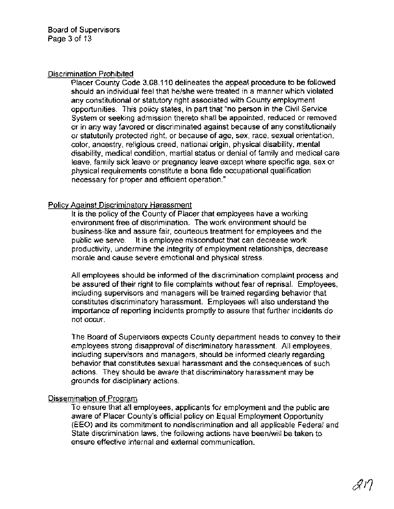#### Discrimination Prohibited

Placer County Code 3.08.1 10 delineates the appeal procedure to be followed should an individual feel that helshe were treated in a manner which violated any constitutional or statutory right associated with County employment opportunities. This policy states, in part that "no person in the Civil Service System or seeking admission thereto shall be appointed, reduced or removed or in any way favored or discriminated against because of any constitutionally or statutorily protected right, or because of age, sex, race, sexual orientation, color, ancestry, religious creed, national origin, physical disability, mental disability, medical condition, martial status or denial of family and medical care leave, family sick leave or pregnancy leave except where specific age, sex or physical requirements constitute a bona fide occupational qualification necessary for proper and efficient operation."

# Policy Aaainst Discriminatorv Harassment

It is the policy of the County of Placer that employees have a working environment free of discrimination. The work environment should be business-like and assure fair, courteous treatment for employees and the public we serve. It is employee misconduct that can decrease work productivity, undermine the integrity of employment relationships, decrease morale and cause severe emotional and physical stress.

All employees should be informed of the discrimination complaint process and be assured of their right to file complaints without fear of reprisal. Employees, including supervisors and managers will be trained regarding behavior that constitutes discriminatory harassment. Employees will also understand the importance of reporting incidents promptly to assure that further incidents do not occur.

The Board of Supervisors expects County department heads to convey to their employees strong disapproval of discriminatory harassment. All employees, including supervisors and managers, should be informed clearly regarding behavior that constitutes sexual harassment and the consequences of such actions. They should be aware that discriminatory harassment may be grounds for disciplinary actions.

# Dissemination of Program

To ensure that all employees, applicants for employment and the public are aware of Placer County's official policy on Equal Employment Opportunity (EEO) and its commitment to nondiscrimination and all applicable Federal and State discrimination laws, the following actions have been/will be taken to ensure effective internal and external communication.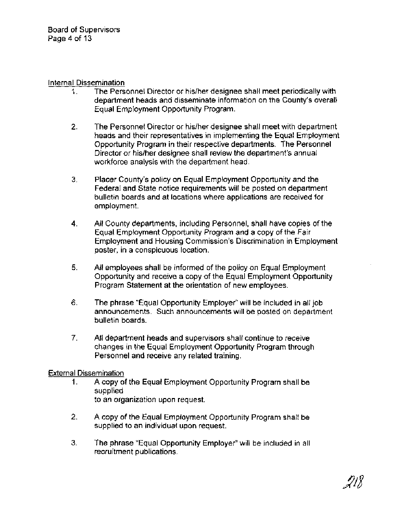#### Internal Dissemination

- 1. The Personnel Director or hislher designee shall meet periodically with department heads and disseminate information on the County's overall Equal Employment Opportunity Program.
- **2.** The Personnel Director or hislher designee shall meet with department heads and their representatives in implementing the Equal Employment Opportunity Program in their respective departments. The Personnel Director or hislher designee shall review the department's annual workforce analysis with the department head.
- **3.** Placer County's policy on Equal Employment Opportunity and the Federal and State notice requirements will be posted on department bulletin boards and at locations where applications are received for employment.
- **4.** All County departments, including Personnel, shall have copies of the Equal Employment Opportunity Program and a copy of the Fair Employment and Housing Commission's Discrimination in Employment poster, in a conspicuous location.
- **5.** All employees shall be informed of the policy on Equal Employment Opportunity and receive a copy of the Equal Employment Opportunity Program Statement at the orientation of new employees.
- 6. The phrase "Equal Opportunity Employer" will be included in all job announcements. Such announcements will be posted on department bulletin boards.
- 7. All department heads and supervisors shall continue to receive changes in the Equal Employment Opportunity Program through Personnel and receive any related training.

# External Dissemination

- 1. A copy of the Equal Employment Opportunity Program shall be supplied to an organization upon request.
- **2.** A copy of the Equal Employment Opportunity Program shall be supplied to an individual upon request.
- **3.** The phrase "Equal Opportunity Employer" will be included in all recruitment publications.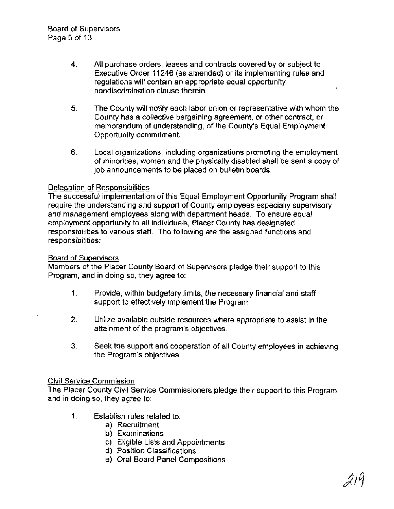- **4.** All purchase orders, leases and contracts covered by or subject to Executive Order 11246 (as amended) or its implementing rules and regulations will contain an appropriate equal opportunity nondiscrimination clause therein.
- 5. The County will notify each labor union or representative with whom the County has a collective bargaining agreement, or other contract, or memorandum of understanding, of the County's Equal Employment Opportunity commitment.
- 6. Local organizations, including organizations promoting the employment of minorities, women and the physically disabled shall be sent a copy of job announcements to be placed on bulletin boards.

#### Delegation of Responsibilities

The successful implementation of this Equal Employment Opportunity Program shall require the understanding and support of County employees especially supervisory and management employees along with department heads. To ensure equal employment opportunity to all individuals, Placer County has designated responsibilities to various staff. The following are the assigned functions and responsibilities:

#### Board of Supervisors

Members of the Placer County Board of Supervisors pledge their support to this Program, and in doing so, they agree to:

- 1. Provide, within budgetary limits, the necessary financial and staff support to effectively implement the Program.
- **2.** Utilize available outside resources where appropriate to assist in the attainment of the program's objectives.
- **3.** Seek the support and cooperation of all County employees in achieving the Program's objectives.

#### Civil Service Commission

The Placer County Civil Service Commissioners pledge their support to this Program, and in doing so, they agree to:

- 1. Establish rules related to:
	- a) Recruitment
	- b) Examinations
	- c) Eligible Lists and Appointments
	- d) Position Classifications
	- e) Oral Board Panel Compositions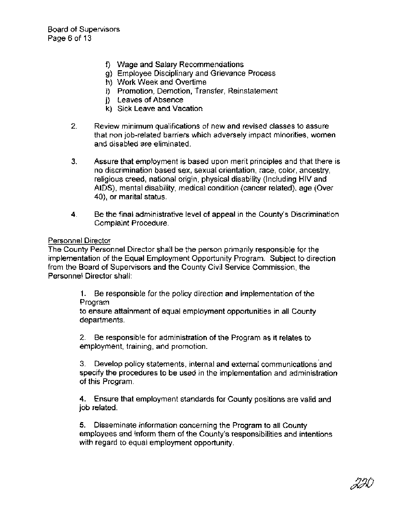- f) Wage and Salary Recommendations
- g) Employee Disciplinary and Grievance Process
- h) Work Week and Overtime
- i) Promotion, Demotion, Transfer, Reinstatement
- j) Leaves of Absence
- k) Sick Leave and Vacation
- 2. Review minimum qualifications of new and revised classes to assure that non job-related barriers which adversely impact minorities, women and disabled are eliminated.
- **3.** Assure that employment is based upon merit principles and that there is no discrimination based sex, sexual orientation, race, color, ancestry, religious creed, national origin, physical disability (Including HIV and AIDS), mental disability, medical condition (cancer related), age (Over 40), or marital status.
- **4.** Be the final administrative level of appeal in the County's Discrimination Complaint Procedure.

# Personnel Director

The County Personnel Director shall be the person primarily responsible for the implementation of the Equal Employment Opportunity Program. Subject to direction from the Board of Supervisors and the County Civil Service Commission, the Personnel Director shall:

> 1. Be responsible for the policy direction and implementation of the Program

> to ensure attainment of equal employment opportunities in all County departments.

2. Be responsible for administration of the Program as it relates to employment, training, and promotion.

3. Develop policy statements, internal and external communications~and specify the procedures to be used in the implementation and administration of this Program.

4. Ensure that employment standards for County positions are valid and job related.

5. Disseminate information concerning the Program to all County employees and inform them of the County's responsibilities and intentions with regard to equal employment opportunity.

230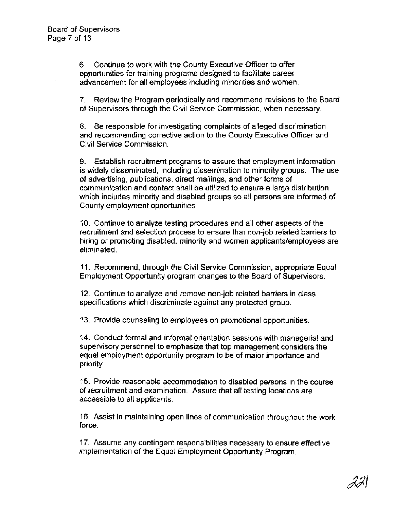6. Continue to work with the County Executive Officer to offer opportunities for training programs designed to facilitate career advancement for all employees including minorities and women.

7. Review the Program periodically and recommend revisions to the Board of Supervisors through the Civil Service Commission, when necessary.

8. Be responsible for investigating complaints of alleged discrimination and recommending corrective action to the County Executive Officer and Civil Service Commission.

9. Establish recruitment programs to assure that employment information is widely disseminated, including dissemination to minority groups. The use of advertising, publications, direct mailings, and other forms of communication and contact shall be utilized to ensure a large distribution which includes minority and disabled groups so all persons are informed of County employment opportunities.

10. Continue to analyze testing procedures and all other aspects of the recruitment and selection process to ensure that non-job related barriers to hiring or promoting disabled, minority and women applicants/employees are eliminated.

11, Recommend, through the Civil Service Commission, appropriate Equal Employment Opportunity program changes to the Board of Supervisors.

12. Continue to analyze and remove non-job related barriers in class specifications which discriminate against any protected group.

13. Provide counseling to employees on promotional opportunities.

14. Conduct formal and informal orientation sessions with managerial and supervisory personnel to emphasize that top management considers the equal employment opportunity program to be of major importance and priority.

15. Provide reasonable accommodation to disabled persons in the course of recruitment and examination. Assure that all testing locations are accessible to all applicants.

16. Assist in maintaining open lines of communication throughout the work force.

17. Assume any contingent responsibilities necessary to ensure effective implementation of the Equal Employment Opportunity Program.

221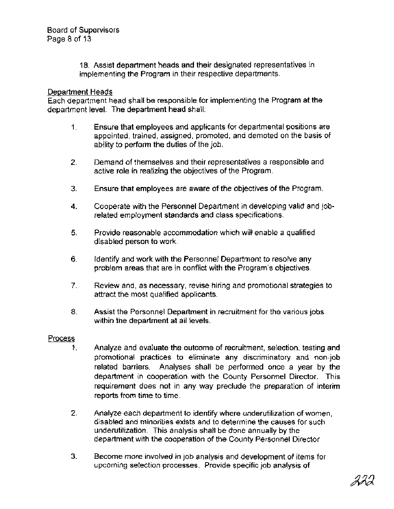18. Assist department heads and their designated representatives in implementing the Program in their respective departments.

# Department Heads

Each department head shall be responsible for implementing the Program at the department level. The department head shall:

- 1. Ensure that employees and applicants for departmental positions are appointed, trained, assigned, promoted, and demoted on the basis of ability to perform the duties of the job.
- **2.** Demand of themselves and their representatives a responsible and active role in realizing the objectives of the Program.
- 3. Ensure that employees are aware of the objectives of the Program.
- **4.** Cooperate with the Personnel Department in developing valid and jobrelated employment standards and class specifications.
- **5.** Provide reasonable accommodation which will enable a qualified disabled person to work.
- 6. Identify and work with the Personnel Department to resolve any problem areas that are in conflict with the Program's objectives.
- 7. Review and, as necessary, revise hiring and promotional strategies to attract the most qualified applicants.
- **8.** Assist the Personnel Department in recruitment for the various jobs within the department at all levels.

# Process

- 1. Analyze and evaluate the outcome of recruitment, selection, testing and promotional practices to eliminate any discriminatory and non-job related barriers. Analyses shall be performed once a year by the department in cooperation with the County Personnel Director. This requirement does not in any way preclude the preparation of interim reports from time to time.
- **2.** Analyze each department to identify where underutilization of women, disabled and minorities exists and to determine the causes for such underutilization. This analysis shall be done annually by the department with the cooperation of the County Personnel Director
- 3. Become more involved in job analysis and development of items for upcoming selection processes. Provide specific job analysis of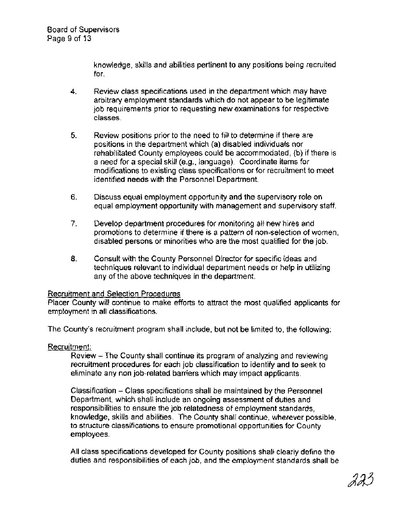knowledge, skills and abilities pertinent to any positions being recruited for.

- **4.** Review class specifications used in the department which may have arbitrary employment standards which do not appear to be legitimate job requirements prior to requesting new examinations for respective classes.
- **5.** Review positions prior to the need to fill to determine if there are positions in the department which (a) disabled individuals nor rehabilitated County employees could be accommodated, (b) if there is a need for a special skill (e.g., language). Coordinate items for modifications to existing class specifications or for recruitment to meet identified needs with the Personnel Department.
- 6. Discuss equal employment opportunity and the supervisory role on equal employment opportunity with management and supervisory staff.
- 7. Develop department procedures for monitoring all new hires and promotions to determine if there is a pattern of non-selection of women, disabled persons or minorities who are the most qualified for the job.
- 8. Consult with the County Personnel Director for specific ideas and techniques relevant to individual department needs or help in utilizing any of the above techniques in the department.

# Recruitment and Selection Procedures

Placer County will continue to make efforts to attract the most qualified applicants for employment in all classifications.

The County's recruitment program shall include, but not be limited to, the following:

# Recruitment:

Review - The County shall continue its program of analyzing and reviewing recruitment procedures for each job classification to identify and to seek to eliminate any non job-related barriers which may impact applicants.

Classification - Class specifications shall be maintained by the Personnel Department, which shall include an ongoing assessment of duties and responsibilities to ensure the job relatedness of employment standards, knowledge, skills and abilities. The County shall continue, wherever possible, to structure classifications to ensure promotional opportunities for County employees.

All class specifications developed for County positions shall clearly define the duties and responsibilities of each job, and the employment standards shall be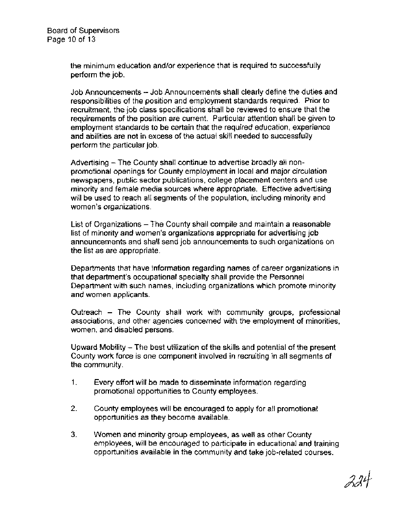the minimum education and/or experience that is required to successfully perform the job.

Job Announcements - Job Announcements shall clearly define the duties and responsibilities of the position and employment standards required. Prior to recruitment, the job class specifications shall be reviewed to ensure that the requirements of the position are current. Particular attention shall be given to employment standards to be certain that the required education, experience and abilities are not in excess of the actual skill needed to successfully perform the particular job.

Advertising - The County shall continue to advertise broadly all nonpromotional openings for County employment in local and major circulation newspapers, public sector publications, college placement centers and use minority and female media sources where appropriate. Effective advertising will be used to reach all segments of the population, including minority and women's organizations.

List of Organizations - The County shall compile and maintain a reasonable list of minority and women's organizations appropriate for advertising job announcements and shall send job announcements to such organizations on the list as are appropriate.

Departments that have information regarding names of career organizations in that department's occupational specialty shall provide the Personnel Department with such names, including organizations which promote minority and women applicants.

Outreach - The County shall work with community groups, professional associations, and other agencies concerned with the employment of minorities, women, and disabled persons.

Upward Mobility - The best utilization of the skills and potential of the present County work force is one component involved in recruiting in all segments of the community.

- 1. Every effort will be made to disseminate information regarding promotional opportunities to County employees.
- 2. County employees will be encouraged to apply for all promotional opportunities as they become available.
- **3.** Women and minority group employees, as well as other County employees, will be encouraged to participate in educational and training opportunities available in the community and take job-related courses.

224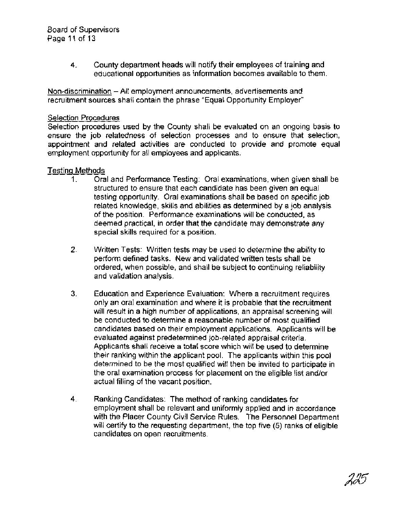Board of Supervisors Page 11 of 13

> **4.** County department heads will notify their employees of training and educational opportunities as information becomes available to them.

Non-discrimination - All employment announcements, advertisements and recruitment sources shall contain the phrase "Equal Opportunity Employer"

#### Selection Procedures

Selection procedures used by the County shall be evaluated on an ongoing basis to ensure the job relatedness of selection processes and to ensure that selection, appointment and related activities are conducted to provide and promote equal employment opportunity for all employees and applicants.

#### Testina Methods

- I. Oral and Performance Testing: Oral examinations, when given shall be structured to ensure that each candidate has been given an equal testing opportunity. Oral examinations shall be based on specific job related knowledge, skills and abilities as determined by a job analysis of the position. Performance examinations will be conducted, as deemed practical, in order that the candidate may demonstrate any special skills required for a position.
- 2. Written Tests: Written tests may be used to determine the ability to perform defined tasks. New and validated written tests shall be ordered, when possible, and shall be subject to continuing reliability and validation analysis.
- 3. Education and Experience Evaluation: Where a recruitment requires only an oral examination and where it is probable that the recruitment will result in a high number of applications, an appraisal screening will be conducted to determine a reasonable number of most qualified candidates based on their employment applications. Applicants will be evaluated against predetermined job-related appraisal criteria. Applicants shall receive a total score which will be used to determine their ranking within the applicant pool. The applicants within this pool determined to be the most qualified will then be invited to participate in the oral examination process for placement on the eligible list and/or actual filling of the vacant position.
- **4.** Ranking Candidates: The method of ranking candidates for employment shall be relevant and uniformly applied and in accordance with the Placer County Civil Service Rules. The Personnel Department will certify to the requesting department, the top five (5) ranks of eligible candidates on open recruitments.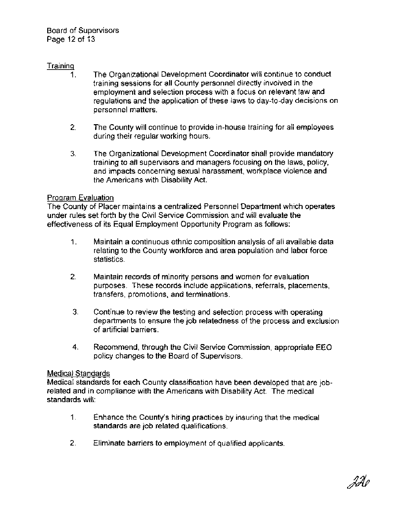# Traininq

- 1. The Organizational Development Coordinator will continue to conduct training sessions for all County personnel directly involved in the employment and selection process with a focus on relevant law and regulations and the application of these laws to day-to-day decisions on personnel matters.
- 2. The County will continue to provide in-house training for all employees during their regular working hours.
- 3. The Organizational Development Coordinator shall provide mandatory training to all supervisors and managers focusing on the laws, policy, and impacts concerning sexual harassment, workplace violence and the Americans with Disability Act.

#### Program Evaluation

The County of Placer maintains a centralized Personnel Department which operates under rules set forth by the Civil Service Commission and will evaluate the effectiveness of its Equal Employment Opportunity Program as follows:

- 1. Maintain a continuous ethnic composition analysis of all available data relating to the County workforce and area population and labor force statistics.
- 2. Maintain records of minority persons and women for evaluation purposes. These records include applications, referrals, placements, transfers, promotions, and terminations.
- 3. Continue to review the testing and selection process with operating departments to ensure the job relatedness of the process and exclusion of artificial barriers.
- **4.** Recommend, through the Civil Service Commission, appropriate EEO policy changes to the Board of Supervisors.

# Medical Standards

Medical standards for each County classification have been developed that are jobrelated and in compliance with the Americans with Disability Act. The medical standards will:

- 1. Enhance the County's hiring practices by insuring that the medical standards are job related qualifications.
- **2.** Eliminate barriers to employment of qualified applicants.

22 e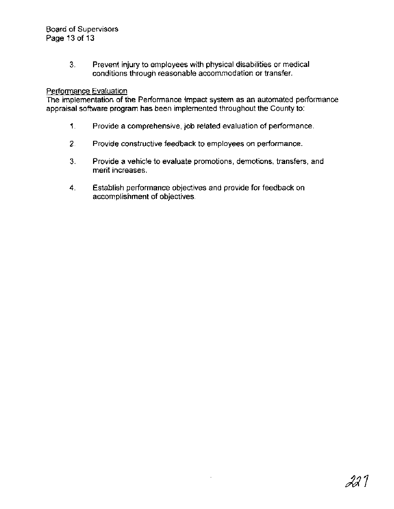**3.** Prevent injury to employees with physical disabilities or medical conditions through reasonable accommodation or transfer.

#### Performance Evaluation

The implementation of the Performance Impact system as an automated performance appraisal software program has been implemented throughout the County to:

- 1 Provide a comprehensive, job related evaluation of performance.
- **2.** Provide constructive feedback to employees on performance.
- 3. Provide a vehicle to evaluate promotions, demotions, transfers, and merit increases.
- **4.** Establish performance objectives and provide for feedback on accomplishment of objectives.